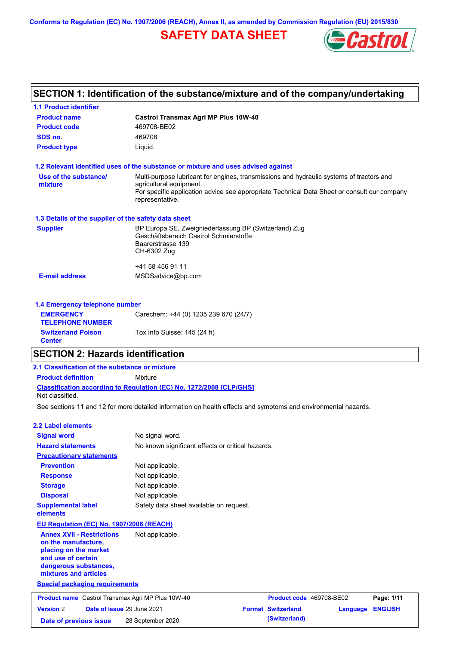**Conforms to Regulation (EC) No. 1907/2006 (REACH), Annex II, as amended by Commission Regulation (EU) 2015/830**

## **SAFETY DATA SHEET**



#### **Castrol Transmax Agri MP Plus 10W-40 Product name 1.1 Product identifier 1.3 Details of the supplier of the safety data sheet Product type Liquid. E-mail address** MSDSadvice@bp.com **1.2 Relevant identified uses of the substance or mixture and uses advised against SECTION 1: Identification of the substance/mixture and of the company/undertaking Product code 469708-BE02 1.4 Emergency telephone number EMERGENCY TELEPHONE NUMBER** Carechem: +44 (0) 1235 239 670 (24/7) **Supplier** BP Europa SE, Zweigniederlassung BP (Switzerland) Zug Geschäftsbereich Castrol Schmierstoffe Baarerstrasse 139 CH-6302 Zug +41 58 456 91 11 **SDS no.** 469708 **Use of the substance/ mixture** Multi-purpose lubricant for engines, transmissions and hydraulic systems of tractors and agricultural equipment. For specific application advice see appropriate Technical Data Sheet or consult our company representative. **Switzerland Poison Tox Info Suisse: 145 (24 h) Center** See sections 11 and 12 for more detailed information on health effects and symptoms and environmental hazards. **Classification according to Regulation (EC) No. 1272/2008 [CLP/GHS] SECTION 2: Hazards identification 2.1 Classification of the substance or mixture Product definition** Mixture **2.2 Label elements Signal word Hazard statements Prevention Precautionary statements Response Storage Disposal** No signal word. No known significant effects or critical hazards. Not applicable. Not applicable. Not applicable. Not applicable. **Supplemental label elements** Safety data sheet available on request. Not classified. **EU Regulation (EC) No. 1907/2006 (REACH) Annex XVII - Restrictions**  Not applicable.

**on the manufacture, placing on the market and use of certain dangerous substances, mixtures and articles**

**Special packaging requirements**

| <b>Product name</b> Castrol Transmax Agri MP Plus 10W-40 |  |                                   | Product code 469708-BE02  |                         | Page: 1/11 |
|----------------------------------------------------------|--|-----------------------------------|---------------------------|-------------------------|------------|
| <b>Version 2</b>                                         |  | <b>Date of issue 29 June 2021</b> | <b>Format Switzerland</b> | <b>Language ENGLISH</b> |            |
| Date of previous issue                                   |  | 28 September 2020.                | (Switzerland)             |                         |            |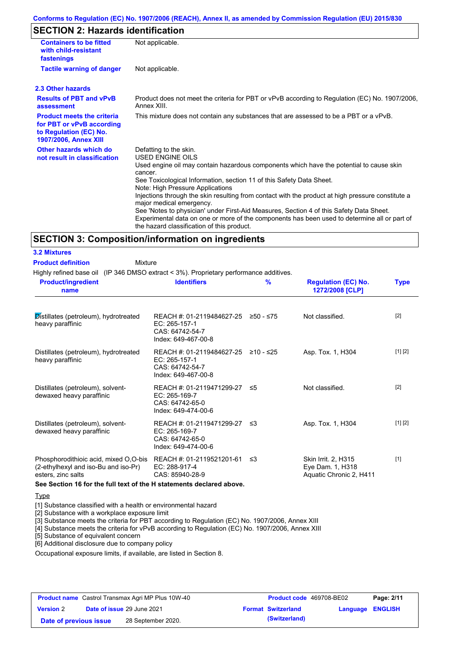#### **Conforms to Regulation (EC) No. 1907/2006 (REACH), Annex II, as amended by Commission Regulation (EU) 2015/830**

### **SECTION 2: Hazards identification**

| <b>Containers to be fitted</b><br>with child-resistant<br>fastenings                                                     | Not applicable.                                                                                                                                                                                                                                                                                                                                                                                                                                                                                                                                                                                                                               |
|--------------------------------------------------------------------------------------------------------------------------|-----------------------------------------------------------------------------------------------------------------------------------------------------------------------------------------------------------------------------------------------------------------------------------------------------------------------------------------------------------------------------------------------------------------------------------------------------------------------------------------------------------------------------------------------------------------------------------------------------------------------------------------------|
| <b>Tactile warning of danger</b>                                                                                         | Not applicable.                                                                                                                                                                                                                                                                                                                                                                                                                                                                                                                                                                                                                               |
| 2.3 Other hazards                                                                                                        |                                                                                                                                                                                                                                                                                                                                                                                                                                                                                                                                                                                                                                               |
| <b>Results of PBT and vPvB</b><br>assessment                                                                             | Product does not meet the criteria for PBT or vPvB according to Regulation (EC) No. 1907/2006,<br>Annex XIII.                                                                                                                                                                                                                                                                                                                                                                                                                                                                                                                                 |
| <b>Product meets the criteria</b><br>for PBT or vPvB according<br>to Regulation (EC) No.<br><b>1907/2006, Annex XIII</b> | This mixture does not contain any substances that are assessed to be a PBT or a vPvB.                                                                                                                                                                                                                                                                                                                                                                                                                                                                                                                                                         |
| Other hazards which do<br>not result in classification                                                                   | Defatting to the skin.<br><b>USED ENGINE OILS</b><br>Used engine oil may contain hazardous components which have the potential to cause skin<br>cancer.<br>See Toxicological Information, section 11 of this Safety Data Sheet.<br>Note: High Pressure Applications<br>Injections through the skin resulting from contact with the product at high pressure constitute a<br>major medical emergency.<br>See 'Notes to physician' under First-Aid Measures, Section 4 of this Safety Data Sheet.<br>Experimental data on one or more of the components has been used to determine all or part of<br>the hazard classification of this product. |

#### **SECTION 3: Composition/information on ingredients**

| <b>3.2 Mixtures</b>       |  |
|---------------------------|--|
| <b>Product definition</b> |  |

Mixture

Highly refined base oil (IP 346 DMSO extract < 3%). Proprietary performance additives.

| <b>Product/ingredient</b><br>name                                                                                                                                                                     | <b>Identifiers</b>                                                                             | $\frac{9}{6}$ | <b>Regulation (EC) No.</b><br>1272/2008 [CLP]                      | <b>Type</b> |
|-------------------------------------------------------------------------------------------------------------------------------------------------------------------------------------------------------|------------------------------------------------------------------------------------------------|---------------|--------------------------------------------------------------------|-------------|
| Distillates (petroleum), hydrotreated<br>heavy paraffinic                                                                                                                                             | REACH #: 01-2119484627-25<br>EC: 265-157-1<br>CAS: 64742-54-7<br>Index: 649-467-00-8           | ≥50 - ≤75     | Not classified.                                                    | $[2]$       |
| Distillates (petroleum), hydrotreated<br>heavy paraffinic                                                                                                                                             | REACH #: 01-2119484627-25 ≥10 - ≤25<br>EC: 265-157-1<br>CAS: 64742-54-7<br>Index: 649-467-00-8 |               | Asp. Tox. 1, H304                                                  | [1] [2]     |
| Distillates (petroleum), solvent-<br>dewaxed heavy paraffinic                                                                                                                                         | REACH #: 01-2119471299-27 ≤5<br>EC: 265-169-7<br>CAS: 64742-65-0<br>Index: 649-474-00-6        |               | Not classified.                                                    | $[2]$       |
| Distillates (petroleum), solvent-<br>dewaxed heavy paraffinic                                                                                                                                         | REACH #: 01-2119471299-27<br>$EC: 265-169-7$<br>CAS: 64742-65-0<br>Index: 649-474-00-6         | ึ ≤3          | Asp. Tox. 1, H304                                                  | [1] [2]     |
| Phosphorodithioic acid, mixed O,O-bis REACH #: 01-2119521201-61<br>(2-ethylhexyl and iso-Bu and iso-Pr)<br>esters, zinc salts<br>See Section 16 for the full text of the H statements declared above. | EC: 288-917-4<br>CAS: 85940-28-9                                                               | ו≥ ≤          | Skin Irrit. 2, H315<br>Eye Dam. 1, H318<br>Aquatic Chronic 2, H411 | $[1]$       |

#### **Type**

[1] Substance classified with a health or environmental hazard

[2] Substance with a workplace exposure limit

[3] Substance meets the criteria for PBT according to Regulation (EC) No. 1907/2006, Annex XIII

[4] Substance meets the criteria for vPvB according to Regulation (EC) No. 1907/2006, Annex XIII

[5] Substance of equivalent concern

[6] Additional disclosure due to company policy

Occupational exposure limits, if available, are listed in Section 8.

| <b>Product name</b> Castrol Transmax Agri MP Plus 10W-40 |                                   |                    | <b>Product code</b> 469708-BE02 |                  | Page: 2/11 |
|----------------------------------------------------------|-----------------------------------|--------------------|---------------------------------|------------------|------------|
| <b>Version 2</b>                                         | <b>Date of issue 29 June 2021</b> |                    | <b>Format Switzerland</b>       | Language ENGLISH |            |
| Date of previous issue                                   |                                   | 28 September 2020. | (Switzerland)                   |                  |            |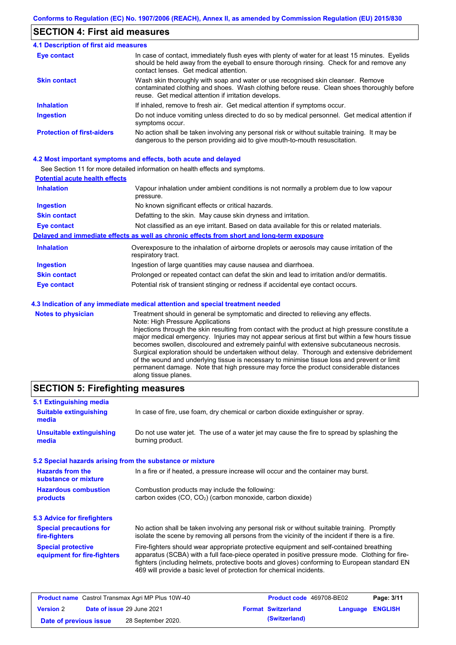#### **SECTION 4: First aid measures**

#### Do not induce vomiting unless directed to do so by medical personnel. Get medical attention if symptoms occur. In case of contact, immediately flush eyes with plenty of water for at least 15 minutes. Eyelids should be held away from the eyeball to ensure thorough rinsing. Check for and remove any contact lenses. Get medical attention. **4.1 Description of first aid measures** If inhaled, remove to fresh air. Get medical attention if symptoms occur. **Ingestion Inhalation Eye contact Protection of first-aiders** No action shall be taken involving any personal risk or without suitable training. It may be dangerous to the person providing aid to give mouth-to-mouth resuscitation. **Skin contact** Wash skin thoroughly with soap and water or use recognised skin cleanser. Remove contaminated clothing and shoes. Wash clothing before reuse. Clean shoes thoroughly before reuse. Get medical attention if irritation develops.

#### **4.2 Most important symptoms and effects, both acute and delayed**

See Section 11 for more detailed information on health effects and symptoms.

| <b>Potential acute health effects</b> |                                                                                                                   |
|---------------------------------------|-------------------------------------------------------------------------------------------------------------------|
| <b>Inhalation</b>                     | Vapour inhalation under ambient conditions is not normally a problem due to low vapour<br>pressure.               |
| <b>Ingestion</b>                      | No known significant effects or critical hazards.                                                                 |
| <b>Skin contact</b>                   | Defatting to the skin. May cause skin dryness and irritation.                                                     |
| <b>Eye contact</b>                    | Not classified as an eye irritant. Based on data available for this or related materials.                         |
|                                       | Delayed and immediate effects as well as chronic effects from short and long-term exposure                        |
| <b>Inhalation</b>                     | Overexposure to the inhalation of airborne droplets or aerosols may cause irritation of the<br>respiratory tract. |
| <b>Ingestion</b>                      | Ingestion of large quantities may cause nausea and diarrhoea.                                                     |
| <b>Skin contact</b>                   | Prolonged or repeated contact can defat the skin and lead to irritation and/or dermatitis.                        |
| Eye contact                           | Potential risk of transient stinging or redness if accidental eye contact occurs.                                 |
|                                       | 4.3 Indication of any immediate medical attention and special treatment needed                                    |
| Notae to physician                    | Treatment should in general he symptomatic and directed to relieving any effects                                  |

**Notes to physician** Treatment should in general be symptomatic and directed to relieving any effects. Note: High Pressure Applications Injections through the skin resulting from contact with the product at high pressure constitute a major medical emergency. Injuries may not appear serious at first but within a few hours tissue becomes swollen, discoloured and extremely painful with extensive subcutaneous necrosis. Surgical exploration should be undertaken without delay. Thorough and extensive debridement of the wound and underlying tissue is necessary to minimise tissue loss and prevent or limit permanent damage. Note that high pressure may force the product considerable distances along tissue planes.

#### **SECTION 5: Firefighting measures**

| 5.1 Extinguishing media                                   |                                                                                                                                                                                                                                                                                                                                                                   |
|-----------------------------------------------------------|-------------------------------------------------------------------------------------------------------------------------------------------------------------------------------------------------------------------------------------------------------------------------------------------------------------------------------------------------------------------|
| <b>Suitable extinguishing</b><br>media                    | In case of fire, use foam, dry chemical or carbon dioxide extinguisher or spray.                                                                                                                                                                                                                                                                                  |
| <b>Unsuitable extinguishing</b><br>media                  | Do not use water jet. The use of a water jet may cause the fire to spread by splashing the<br>burning product.                                                                                                                                                                                                                                                    |
| 5.2 Special hazards arising from the substance or mixture |                                                                                                                                                                                                                                                                                                                                                                   |
| <b>Hazards from the</b><br>substance or mixture           | In a fire or if heated, a pressure increase will occur and the container may burst.                                                                                                                                                                                                                                                                               |
| <b>Hazardous combustion</b><br>products                   | Combustion products may include the following:<br>carbon oxides (CO, CO <sub>2</sub> ) (carbon monoxide, carbon dioxide)                                                                                                                                                                                                                                          |
| 5.3 Advice for firefighters                               |                                                                                                                                                                                                                                                                                                                                                                   |
| <b>Special precautions for</b><br>fire-fighters           | No action shall be taken involving any personal risk or without suitable training. Promptly<br>isolate the scene by removing all persons from the vicinity of the incident if there is a fire.                                                                                                                                                                    |
| <b>Special protective</b><br>equipment for fire-fighters  | Fire-fighters should wear appropriate protective equipment and self-contained breathing<br>apparatus (SCBA) with a full face-piece operated in positive pressure mode. Clothing for fire-<br>fighters (including helmets, protective boots and gloves) conforming to European standard EN<br>469 will provide a basic level of protection for chemical incidents. |

| <b>Product name</b> Castrol Transmax Agri MP Plus 10W-40 |  |                                   | <b>Product code</b> 469708-BE02 |                  | Page: 3/11 |
|----------------------------------------------------------|--|-----------------------------------|---------------------------------|------------------|------------|
| <b>Version 2</b>                                         |  | <b>Date of issue 29 June 2021</b> | <b>Format Switzerland</b>       | Language ENGLISH |            |
| Date of previous issue                                   |  | 28 September 2020.                | (Switzerland)                   |                  |            |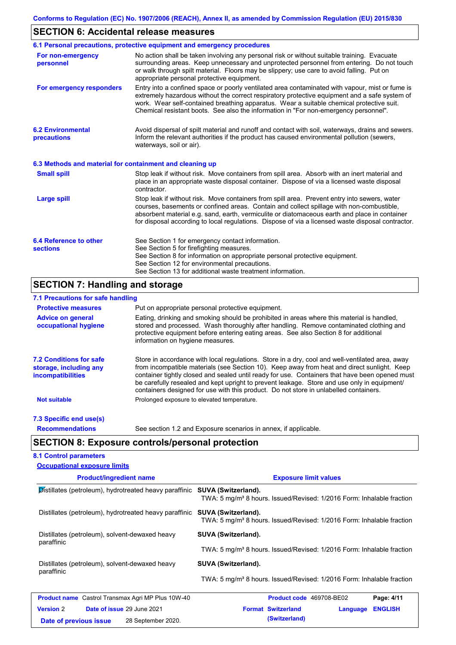# **SECTION 6: Accidental release measures**

|                                                          | 6.1 Personal precautions, protective equipment and emergency procedures                                                                                                                                                                                                                                                                                                                        |
|----------------------------------------------------------|------------------------------------------------------------------------------------------------------------------------------------------------------------------------------------------------------------------------------------------------------------------------------------------------------------------------------------------------------------------------------------------------|
| For non-emergency<br>personnel                           | No action shall be taken involving any personal risk or without suitable training. Evacuate<br>surrounding areas. Keep unnecessary and unprotected personnel from entering. Do not touch<br>or walk through spilt material. Floors may be slippery; use care to avoid falling. Put on<br>appropriate personal protective equipment.                                                            |
| For emergency responders                                 | Entry into a confined space or poorly ventilated area contaminated with vapour, mist or fume is<br>extremely hazardous without the correct respiratory protective equipment and a safe system of<br>work. Wear self-contained breathing apparatus. Wear a suitable chemical protective suit.<br>Chemical resistant boots. See also the information in "For non-emergency personnel".           |
| <b>6.2 Environmental</b><br>precautions                  | Avoid dispersal of spilt material and runoff and contact with soil, waterways, drains and sewers.<br>Inform the relevant authorities if the product has caused environmental pollution (sewers,<br>waterways, soil or air).                                                                                                                                                                    |
| 6.3 Methods and material for containment and cleaning up |                                                                                                                                                                                                                                                                                                                                                                                                |
| <b>Small spill</b>                                       | Stop leak if without risk. Move containers from spill area. Absorb with an inert material and<br>place in an appropriate waste disposal container. Dispose of via a licensed waste disposal<br>contractor.                                                                                                                                                                                     |
| <b>Large spill</b>                                       | Stop leak if without risk. Move containers from spill area. Prevent entry into sewers, water<br>courses, basements or confined areas. Contain and collect spillage with non-combustible,<br>absorbent material e.g. sand, earth, vermiculite or diatomaceous earth and place in container<br>for disposal according to local regulations. Dispose of via a licensed waste disposal contractor. |
| 6.4 Reference to other<br><b>sections</b>                | See Section 1 for emergency contact information.<br>See Section 5 for firefighting measures.<br>See Section 8 for information on appropriate personal protective equipment.<br>See Section 12 for environmental precautions.<br>See Section 13 for additional waste treatment information.                                                                                                     |
| <b>SECTION 7: Handling and storage</b>                   |                                                                                                                                                                                                                                                                                                                                                                                                |
|                                                          |                                                                                                                                                                                                                                                                                                                                                                                                |

#### **7.1 Precautions for safe handling**

| $\overline{1}$ . Figualitura fui sale Handiniu                                       |                                                                                                                                                                                                                                                                                                                                                                                                                                                                                          |
|--------------------------------------------------------------------------------------|------------------------------------------------------------------------------------------------------------------------------------------------------------------------------------------------------------------------------------------------------------------------------------------------------------------------------------------------------------------------------------------------------------------------------------------------------------------------------------------|
| <b>Protective measures</b>                                                           | Put on appropriate personal protective equipment.                                                                                                                                                                                                                                                                                                                                                                                                                                        |
| <b>Advice on general</b><br>occupational hygiene                                     | Eating, drinking and smoking should be prohibited in areas where this material is handled,<br>stored and processed. Wash thoroughly after handling. Remove contaminated clothing and<br>protective equipment before entering eating areas. See also Section 8 for additional<br>information on hygiene measures.                                                                                                                                                                         |
| <b>7.2 Conditions for safe</b><br>storage, including any<br><i>incompatibilities</i> | Store in accordance with local requiations. Store in a dry, cool and well-ventilated area, away<br>from incompatible materials (see Section 10). Keep away from heat and direct sunlight. Keep<br>container tightly closed and sealed until ready for use. Containers that have been opened must<br>be carefully resealed and kept upright to prevent leakage. Store and use only in equipment/<br>containers designed for use with this product. Do not store in unlabelled containers. |
| <b>Not suitable</b>                                                                  | Prolonged exposure to elevated temperature.                                                                                                                                                                                                                                                                                                                                                                                                                                              |
| 7.3 Specific end use(s)                                                              |                                                                                                                                                                                                                                                                                                                                                                                                                                                                                          |
| <b>Recommendations</b>                                                               | See section 1.2 and Exposure scenarios in annex, if applicable.                                                                                                                                                                                                                                                                                                                                                                                                                          |
|                                                                                      |                                                                                                                                                                                                                                                                                                                                                                                                                                                                                          |

### **SECTION 8: Exposure controls/personal protection**

| <b>8.1 Control parameters</b>                                                     |                                                                                   |
|-----------------------------------------------------------------------------------|-----------------------------------------------------------------------------------|
| <b>Occupational exposure limits</b>                                               |                                                                                   |
| <b>Product/ingredient name</b>                                                    | <b>Exposure limit values</b>                                                      |
| <b>Distillates (petroleum), hydrotreated heavy paraffinic SUVA (Switzerland).</b> | TWA: 5 mg/m <sup>3</sup> 8 hours. Issued/Revised: 1/2016 Form: Inhalable fraction |
| Distillates (petroleum), hydrotreated heavy paraffinic SUVA (Switzerland).        |                                                                                   |

zerland). TWA: 5 mg/m<sup>3</sup> 8 hours. Issued/Revised: 1/2016 Form: Inhalable fraction Distillates (petroleum), solvent-dewaxed heavy paraffinic **SUVA (Switzerland).** TWA: 5 mg/m<sup>3</sup> 8 hours. Issued/Revised: 1/2016 Form: Inhalable fraction Distillates (petroleum), solvent-dewaxed heavy paraffinic **SUVA (Switzerland).** TWA: 5 mg/m<sup>3</sup> 8 hours. Issued/Revised: 1/2016 Form: Inhalable fraction

| <b>Product name</b> Castrol Transmax Agri MP Plus 10W-40 |  |                                   | <b>Product code</b> 469708-BE02 | Page: 4/11       |  |
|----------------------------------------------------------|--|-----------------------------------|---------------------------------|------------------|--|
| <b>Version 2</b>                                         |  | <b>Date of issue 29 June 2021</b> | <b>Format Switzerland</b>       | Language ENGLISH |  |
| Date of previous issue                                   |  | 28 September 2020.                | (Switzerland)                   |                  |  |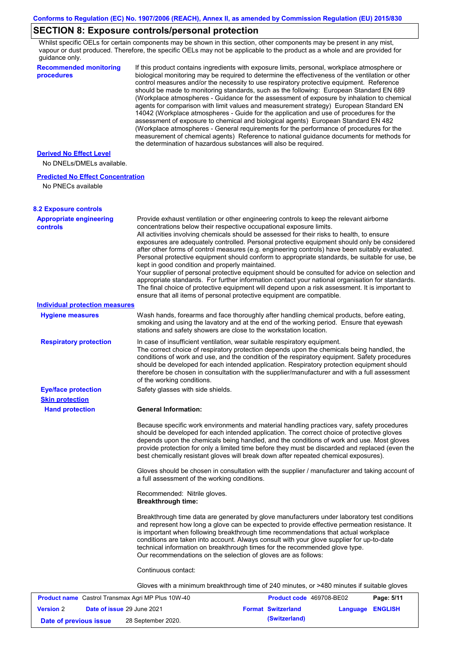## **SECTION 8: Exposure controls/personal protection**

Whilst specific OELs for certain components may be shown in this section, other components may be present in any mist, vapour or dust produced. Therefore, the specific OELs may not be applicable to the product as a whole and are provided for guidance only.

| quiuunoo oniy.<br><b>Recommended monitoring</b><br>procedures | If this product contains ingredients with exposure limits, personal, workplace atmosphere or<br>biological monitoring may be required to determine the effectiveness of the ventilation or other                                                                                                                                                                                                                                                                                                                                                                                                                                                                                                                                                                                                                                                                                                                                                                                                        |
|---------------------------------------------------------------|---------------------------------------------------------------------------------------------------------------------------------------------------------------------------------------------------------------------------------------------------------------------------------------------------------------------------------------------------------------------------------------------------------------------------------------------------------------------------------------------------------------------------------------------------------------------------------------------------------------------------------------------------------------------------------------------------------------------------------------------------------------------------------------------------------------------------------------------------------------------------------------------------------------------------------------------------------------------------------------------------------|
|                                                               | control measures and/or the necessity to use respiratory protective equipment. Reference<br>should be made to monitoring standards, such as the following: European Standard EN 689<br>(Workplace atmospheres - Guidance for the assessment of exposure by inhalation to chemical<br>agents for comparison with limit values and measurement strategy) European Standard EN<br>14042 (Workplace atmospheres - Guide for the application and use of procedures for the<br>assessment of exposure to chemical and biological agents) European Standard EN 482<br>(Workplace atmospheres - General requirements for the performance of procedures for the<br>measurement of chemical agents) Reference to national guidance documents for methods for<br>the determination of hazardous substances will also be required.                                                                                                                                                                                  |
| <b>Derived No Effect Level</b>                                |                                                                                                                                                                                                                                                                                                                                                                                                                                                                                                                                                                                                                                                                                                                                                                                                                                                                                                                                                                                                         |
| No DNELs/DMELs available.                                     |                                                                                                                                                                                                                                                                                                                                                                                                                                                                                                                                                                                                                                                                                                                                                                                                                                                                                                                                                                                                         |
| <b>Predicted No Effect Concentration</b>                      |                                                                                                                                                                                                                                                                                                                                                                                                                                                                                                                                                                                                                                                                                                                                                                                                                                                                                                                                                                                                         |
| No PNECs available                                            |                                                                                                                                                                                                                                                                                                                                                                                                                                                                                                                                                                                                                                                                                                                                                                                                                                                                                                                                                                                                         |
| <b>8.2 Exposure controls</b>                                  |                                                                                                                                                                                                                                                                                                                                                                                                                                                                                                                                                                                                                                                                                                                                                                                                                                                                                                                                                                                                         |
| <b>Appropriate engineering</b><br><b>controls</b>             | Provide exhaust ventilation or other engineering controls to keep the relevant airborne<br>concentrations below their respective occupational exposure limits.<br>All activities involving chemicals should be assessed for their risks to health, to ensure<br>exposures are adequately controlled. Personal protective equipment should only be considered<br>after other forms of control measures (e.g. engineering controls) have been suitably evaluated.<br>Personal protective equipment should conform to appropriate standards, be suitable for use, be<br>kept in good condition and properly maintained.<br>Your supplier of personal protective equipment should be consulted for advice on selection and<br>appropriate standards. For further information contact your national organisation for standards.<br>The final choice of protective equipment will depend upon a risk assessment. It is important to<br>ensure that all items of personal protective equipment are compatible. |
| <b>Individual protection measures</b>                         |                                                                                                                                                                                                                                                                                                                                                                                                                                                                                                                                                                                                                                                                                                                                                                                                                                                                                                                                                                                                         |
| <b>Hygiene measures</b>                                       | Wash hands, forearms and face thoroughly after handling chemical products, before eating,<br>smoking and using the lavatory and at the end of the working period. Ensure that eyewash<br>stations and safety showers are close to the workstation location.                                                                                                                                                                                                                                                                                                                                                                                                                                                                                                                                                                                                                                                                                                                                             |
| <b>Respiratory protection</b>                                 | In case of insufficient ventilation, wear suitable respiratory equipment.<br>The correct choice of respiratory protection depends upon the chemicals being handled, the<br>conditions of work and use, and the condition of the respiratory equipment. Safety procedures<br>should be developed for each intended application. Respiratory protection equipment should<br>therefore be chosen in consultation with the supplier/manufacturer and with a full assessment<br>of the working conditions.                                                                                                                                                                                                                                                                                                                                                                                                                                                                                                   |
| <b>Eye/face protection</b><br><b>Skin protection</b>          | Safety glasses with side shields.                                                                                                                                                                                                                                                                                                                                                                                                                                                                                                                                                                                                                                                                                                                                                                                                                                                                                                                                                                       |
| <b>Hand protection</b>                                        | <b>General Information:</b>                                                                                                                                                                                                                                                                                                                                                                                                                                                                                                                                                                                                                                                                                                                                                                                                                                                                                                                                                                             |
|                                                               | Because specific work environments and material handling practices vary, safety procedures<br>should be developed for each intended application. The correct choice of protective gloves<br>depends upon the chemicals being handled, and the conditions of work and use. Most gloves<br>provide protection for only a limited time before they must be discarded and replaced (even the<br>best chemically resistant gloves will break down after repeated chemical exposures).                                                                                                                                                                                                                                                                                                                                                                                                                                                                                                                        |
|                                                               | Gloves should be chosen in consultation with the supplier / manufacturer and taking account of<br>a full assessment of the working conditions.                                                                                                                                                                                                                                                                                                                                                                                                                                                                                                                                                                                                                                                                                                                                                                                                                                                          |
|                                                               | Recommended: Nitrile gloves.<br><b>Breakthrough time:</b>                                                                                                                                                                                                                                                                                                                                                                                                                                                                                                                                                                                                                                                                                                                                                                                                                                                                                                                                               |
|                                                               | Breakthrough time data are generated by glove manufacturers under laboratory test conditions<br>and represent how long a glove can be expected to provide effective permeation resistance. It<br>is important when following breakthrough time recommendations that actual workplace<br>conditions are taken into account. Always consult with your glove supplier for up-to-date<br>technical information on breakthrough times for the recommended glove type.<br>Our recommendations on the selection of gloves are as follows:                                                                                                                                                                                                                                                                                                                                                                                                                                                                      |
|                                                               | Continuous contact:                                                                                                                                                                                                                                                                                                                                                                                                                                                                                                                                                                                                                                                                                                                                                                                                                                                                                                                                                                                     |
|                                                               | Gloves with a minimum breakthrough time of 240 minutes, or >480 minutes if suitable gloves                                                                                                                                                                                                                                                                                                                                                                                                                                                                                                                                                                                                                                                                                                                                                                                                                                                                                                              |
|                                                               |                                                                                                                                                                                                                                                                                                                                                                                                                                                                                                                                                                                                                                                                                                                                                                                                                                                                                                                                                                                                         |

| <b>Product name</b> Castrol Transmax Agri MP Plus 10W-40 |  | Product code 469708-BE02          |  | Page: 5/11                |                         |  |
|----------------------------------------------------------|--|-----------------------------------|--|---------------------------|-------------------------|--|
| <b>Version 2</b>                                         |  | <b>Date of issue 29 June 2021</b> |  | <b>Format Switzerland</b> | <b>Language ENGLISH</b> |  |
| Date of previous issue                                   |  | 28 September 2020.                |  | (Switzerland)             |                         |  |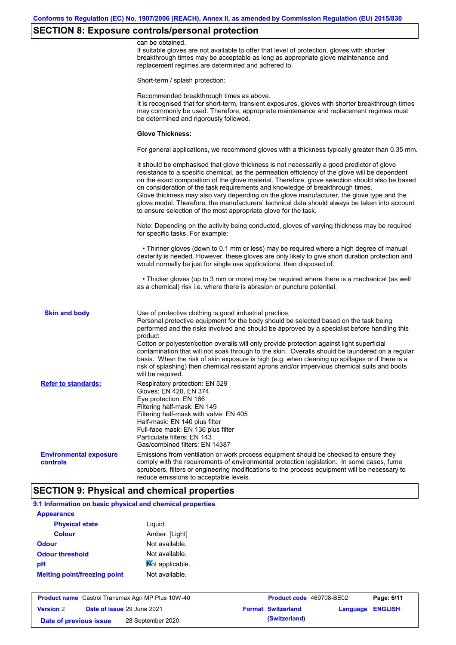# **SECTION 8: Exposure controls/personal protection**

|                                           | can be obtained.<br>If suitable gloves are not available to offer that level of protection, gloves with shorter<br>breakthrough times may be acceptable as long as appropriate glove maintenance and<br>replacement regimes are determined and adhered to.                                                                                                                                                                                                                                                                                                                                                                                                                            |
|-------------------------------------------|---------------------------------------------------------------------------------------------------------------------------------------------------------------------------------------------------------------------------------------------------------------------------------------------------------------------------------------------------------------------------------------------------------------------------------------------------------------------------------------------------------------------------------------------------------------------------------------------------------------------------------------------------------------------------------------|
|                                           | Short-term / splash protection:                                                                                                                                                                                                                                                                                                                                                                                                                                                                                                                                                                                                                                                       |
|                                           | Recommended breakthrough times as above.<br>It is recognised that for short-term, transient exposures, gloves with shorter breakthrough times<br>may commonly be used. Therefore, appropriate maintenance and replacement regimes must<br>be determined and rigorously followed.                                                                                                                                                                                                                                                                                                                                                                                                      |
|                                           | <b>Glove Thickness:</b>                                                                                                                                                                                                                                                                                                                                                                                                                                                                                                                                                                                                                                                               |
|                                           | For general applications, we recommend gloves with a thickness typically greater than 0.35 mm.                                                                                                                                                                                                                                                                                                                                                                                                                                                                                                                                                                                        |
|                                           | It should be emphasised that glove thickness is not necessarily a good predictor of glove<br>resistance to a specific chemical, as the permeation efficiency of the glove will be dependent<br>on the exact composition of the glove material. Therefore, glove selection should also be based<br>on consideration of the task requirements and knowledge of breakthrough times.<br>Glove thickness may also vary depending on the glove manufacturer, the glove type and the<br>glove model. Therefore, the manufacturers' technical data should always be taken into account<br>to ensure selection of the most appropriate glove for the task.                                     |
|                                           | Note: Depending on the activity being conducted, gloves of varying thickness may be required<br>for specific tasks. For example:                                                                                                                                                                                                                                                                                                                                                                                                                                                                                                                                                      |
|                                           | • Thinner gloves (down to 0.1 mm or less) may be required where a high degree of manual<br>dexterity is needed. However, these gloves are only likely to give short duration protection and<br>would normally be just for single use applications, then disposed of.                                                                                                                                                                                                                                                                                                                                                                                                                  |
|                                           | • Thicker gloves (up to 3 mm or more) may be required where there is a mechanical (as well<br>as a chemical) risk i.e. where there is abrasion or puncture potential.                                                                                                                                                                                                                                                                                                                                                                                                                                                                                                                 |
| <b>Skin and body</b>                      | Use of protective clothing is good industrial practice.<br>Personal protective equipment for the body should be selected based on the task being<br>performed and the risks involved and should be approved by a specialist before handling this<br>product.<br>Cotton or polyester/cotton overalls will only provide protection against light superficial<br>contamination that will not soak through to the skin. Overalls should be laundered on a regular<br>basis. When the risk of skin exposure is high (e.g. when cleaning up spillages or if there is a<br>risk of splashing) then chemical resistant aprons and/or impervious chemical suits and boots<br>will be required. |
| <b>Refer to standards:</b>                | Respiratory protection: EN 529<br>Gloves: EN 420, EN 374<br>Eye protection: EN 166<br>Filtering half-mask: EN 149<br>Filtering half-mask with valve: EN 405<br>Half-mask: EN 140 plus filter<br>Full-face mask: EN 136 plus filter<br>Particulate filters: EN 143<br>Gas/combined filters: EN 14387                                                                                                                                                                                                                                                                                                                                                                                   |
| <b>Environmental exposure</b><br>controls | Emissions from ventilation or work process equipment should be checked to ensure they<br>comply with the requirements of environmental protection legislation. In some cases, fume<br>scrubbers, filters or engineering modifications to the process equipment will be necessary to<br>reduce emissions to acceptable levels.                                                                                                                                                                                                                                                                                                                                                         |

# **9.1 Information on basic physical and chemical properties**

| <b>Appearance</b>                   |                 |
|-------------------------------------|-----------------|
| <b>Physical state</b>               | Liguid.         |
| <b>Colour</b>                       | Amber. [Light]  |
| <b>Odour</b>                        | Not available.  |
| <b>Odour threshold</b>              | Not available.  |
| рH                                  | Mot applicable. |
| <b>Melting point/freezing point</b> | Not available.  |
|                                     |                 |

| <b>Product name</b> Castrol Transmax Agri MP Plus 10W-40 |  | <b>Product code</b> 469708-BE02   |  | Page: 6/11                |                         |  |
|----------------------------------------------------------|--|-----------------------------------|--|---------------------------|-------------------------|--|
| <b>Version 2</b>                                         |  | <b>Date of issue 29 June 2021</b> |  | <b>Format Switzerland</b> | <b>Language ENGLISH</b> |  |
| Date of previous issue                                   |  | 28 September 2020.                |  | (Switzerland)             |                         |  |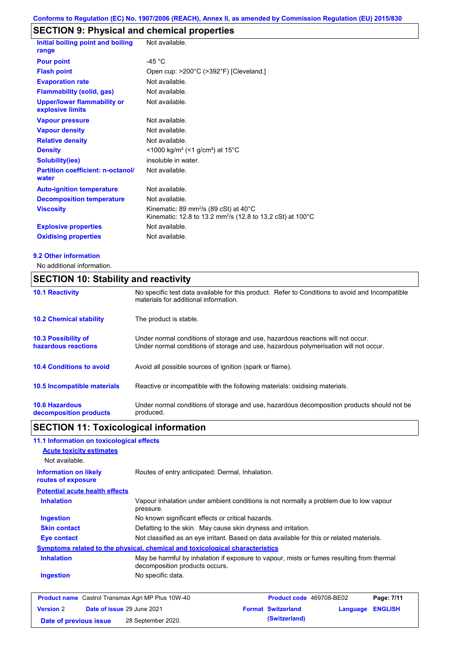# **SECTION 9: Physical and chemical properties**

| Initial boiling point and boiling<br>range             | Not available.                                                                                                               |
|--------------------------------------------------------|------------------------------------------------------------------------------------------------------------------------------|
|                                                        |                                                                                                                              |
| <b>Pour point</b>                                      | -45 $^{\circ}$ C                                                                                                             |
| <b>Flash point</b>                                     | Open cup: >200°C (>392°F) [Cleveland.]                                                                                       |
| <b>Evaporation rate</b>                                | Not available.                                                                                                               |
| <b>Flammability (solid, gas)</b>                       | Not available.                                                                                                               |
| <b>Upper/lower flammability or</b><br>explosive limits | Not available.                                                                                                               |
| <b>Vapour pressure</b>                                 | Not available.                                                                                                               |
| <b>Vapour density</b>                                  | Not available.                                                                                                               |
| <b>Relative density</b>                                | Not available.                                                                                                               |
| <b>Density</b>                                         | <1000 kg/m <sup>3</sup> (<1 g/cm <sup>3</sup> ) at 15°C                                                                      |
| <b>Solubility(ies)</b>                                 | insoluble in water.                                                                                                          |
| <b>Partition coefficient: n-octanol/</b><br>water      | Not available.                                                                                                               |
| <b>Auto-ignition temperature</b>                       | Not available.                                                                                                               |
| <b>Decomposition temperature</b>                       | Not available.                                                                                                               |
| <b>Viscosity</b>                                       | Kinematic: 89 mm <sup>2</sup> /s (89 cSt) at 40°C<br>Kinematic: 12.8 to 13.2 mm <sup>2</sup> /s (12.8 to 13.2 cSt) at 100 °C |
| <b>Explosive properties</b>                            | Not available.                                                                                                               |
| <b>Oxidising properties</b>                            | Not available.                                                                                                               |
|                                                        |                                                                                                                              |

#### **9.2 Other information**

No additional information.

## **SECTION 10: Stability and reactivity**

| <b>10.1 Reactivity</b>                            | No specific test data available for this product. Refer to Conditions to avoid and Incompatible<br>materials for additional information.                                |
|---------------------------------------------------|-------------------------------------------------------------------------------------------------------------------------------------------------------------------------|
| <b>10.2 Chemical stability</b>                    | The product is stable.                                                                                                                                                  |
| <b>10.3 Possibility of</b><br>hazardous reactions | Under normal conditions of storage and use, hazardous reactions will not occur.<br>Under normal conditions of storage and use, hazardous polymerisation will not occur. |
| <b>10.4 Conditions to avoid</b>                   | Avoid all possible sources of ignition (spark or flame).                                                                                                                |
| <b>10.5 Incompatible materials</b>                | Reactive or incompatible with the following materials: oxidising materials.                                                                                             |
| <b>10.6 Hazardous</b><br>decomposition products   | Under normal conditions of storage and use, hazardous decomposition products should not be<br>produced.                                                                 |

# **SECTION 11: Toxicological information**

| 11.1 Information on toxicological effects          |                                                                                                                             |
|----------------------------------------------------|-----------------------------------------------------------------------------------------------------------------------------|
| <b>Acute toxicity estimates</b>                    |                                                                                                                             |
| Not available.                                     |                                                                                                                             |
| <b>Information on likely</b><br>routes of exposure | Routes of entry anticipated: Dermal, Inhalation.                                                                            |
| <b>Potential acute health effects</b>              |                                                                                                                             |
| <b>Inhalation</b>                                  | Vapour inhalation under ambient conditions is not normally a problem due to low vapour<br>pressure.                         |
| <b>Ingestion</b>                                   | No known significant effects or critical hazards.                                                                           |
| <b>Skin contact</b>                                | Defatting to the skin. May cause skin dryness and irritation.                                                               |
| <b>Eye contact</b>                                 | Not classified as an eye irritant. Based on data available for this or related materials.                                   |
|                                                    | <u>Symptoms related to the physical, chemical and toxicological characteristics</u>                                         |
| <b>Inhalation</b>                                  | May be harmful by inhalation if exposure to vapour, mists or fumes resulting from thermal<br>decomposition products occurs. |
| <b>Ingestion</b>                                   | No specific data.                                                                                                           |
|                                                    |                                                                                                                             |

|                        | <b>Product name</b> Castrol Transmax Agri MP Plus 10W-40 | <b>Product code</b> 469708-BE02 |                         | Page: 7/11 |
|------------------------|----------------------------------------------------------|---------------------------------|-------------------------|------------|
| <b>Version 2</b>       | <b>Date of issue 29 June 2021</b>                        | <b>Format Switzerland</b>       | <b>Language ENGLISH</b> |            |
| Date of previous issue | 28 September 2020.                                       | (Switzerland)                   |                         |            |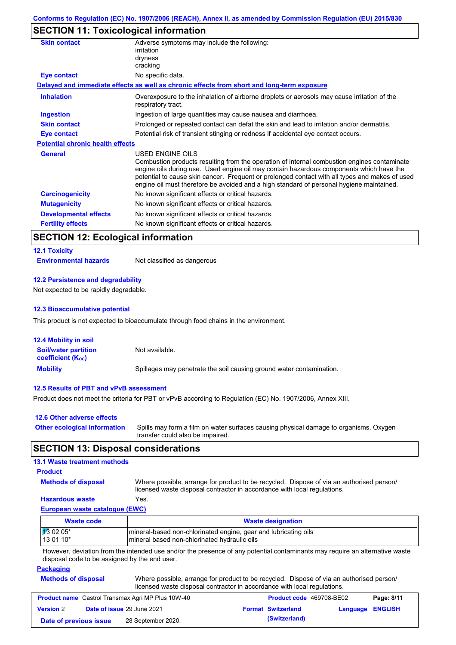## **SECTION 11: Toxicological information**

| Adverse symptoms may include the following:<br>irritation                                                                                                                                                                                                                                                                                                                                                |
|----------------------------------------------------------------------------------------------------------------------------------------------------------------------------------------------------------------------------------------------------------------------------------------------------------------------------------------------------------------------------------------------------------|
| dryness                                                                                                                                                                                                                                                                                                                                                                                                  |
| cracking                                                                                                                                                                                                                                                                                                                                                                                                 |
| No specific data.                                                                                                                                                                                                                                                                                                                                                                                        |
| Delayed and immediate effects as well as chronic effects from short and long-term exposure                                                                                                                                                                                                                                                                                                               |
| Overexposure to the inhalation of airborne droplets or aerosols may cause irritation of the<br>respiratory tract.                                                                                                                                                                                                                                                                                        |
| Ingestion of large quantities may cause nausea and diarrhoea.                                                                                                                                                                                                                                                                                                                                            |
| Prolonged or repeated contact can defat the skin and lead to irritation and/or dermatitis.                                                                                                                                                                                                                                                                                                               |
| Potential risk of transient stinging or redness if accidental eye contact occurs.                                                                                                                                                                                                                                                                                                                        |
| <b>Potential chronic health effects</b>                                                                                                                                                                                                                                                                                                                                                                  |
| USED ENGINE OILS<br>Combustion products resulting from the operation of internal combustion engines contaminate<br>engine oils during use. Used engine oil may contain hazardous components which have the<br>potential to cause skin cancer. Frequent or prolonged contact with all types and makes of used<br>engine oil must therefore be avoided and a high standard of personal hygiene maintained. |
| No known significant effects or critical hazards.                                                                                                                                                                                                                                                                                                                                                        |
| No known significant effects or critical hazards.                                                                                                                                                                                                                                                                                                                                                        |
| No known significant effects or critical hazards.                                                                                                                                                                                                                                                                                                                                                        |
| No known significant effects or critical hazards.                                                                                                                                                                                                                                                                                                                                                        |
|                                                                                                                                                                                                                                                                                                                                                                                                          |

### **SECTION 12: Ecological information**

#### **12.1 Toxicity**

**Environmental hazards** Not classified as dangerous

#### **12.2 Persistence and degradability**

Not expected to be rapidly degradable.

#### **12.3 Bioaccumulative potential**

This product is not expected to bioaccumulate through food chains in the environment.

| <b>12.4 Mobility in soil</b>                            |                                                                      |
|---------------------------------------------------------|----------------------------------------------------------------------|
| <b>Soil/water partition</b><br><b>coefficient (Koc)</b> | Not available.                                                       |
| <b>Mobility</b>                                         | Spillages may penetrate the soil causing ground water contamination. |

#### **12.5 Results of PBT and vPvB assessment**

Product does not meet the criteria for PBT or vPvB according to Regulation (EC) No. 1907/2006, Annex XIII.

| 12.6 Other adverse effects          |                                                                                                                           |
|-------------------------------------|---------------------------------------------------------------------------------------------------------------------------|
| <b>Other ecological information</b> | Spills may form a film on water surfaces causing physical damage to organisms. Oxygen<br>transfer could also be impaired. |

#### **SECTION 13: Disposal considerations**

#### **13.1 Waste treatment methods**

#### **Product**

**Methods of disposal**

Where possible, arrange for product to be recycled. Dispose of via an authorised person/

#### **Hazardous waste** Yes.

licensed waste disposal contractor in accordance with local regulations.

### **European waste catalogue (EWC)**

| Waste code           | <b>Waste designation</b>                                         |
|----------------------|------------------------------------------------------------------|
| $\frac{1}{3}$ 02 05* | Imineral-based non-chlorinated engine, gear and lubricating oils |
| $130110*$            | mineral based non-chlorinated hydraulic oils                     |

However, deviation from the intended use and/or the presence of any potential contaminants may require an alternative waste disposal code to be assigned by the end user.

#### **Packaging**

| <b>Methods of disposal</b> | Where possible, arrange for product to be recycled. Dispose of via an authorised person/ |
|----------------------------|------------------------------------------------------------------------------------------|
|                            | licensed waste disposal contractor in accordance with local regulations.                 |

| <b>Product name</b> Castrol Transmax Agri MP Plus 10W-40 |  | <b>Product code</b> 469708-BE02   |  | Page: 8/11                |                         |  |
|----------------------------------------------------------|--|-----------------------------------|--|---------------------------|-------------------------|--|
| <b>Version 2</b>                                         |  | <b>Date of issue 29 June 2021</b> |  | <b>Format Switzerland</b> | <b>Language ENGLISH</b> |  |
| Date of previous issue                                   |  | 28 September 2020.                |  | (Switzerland)             |                         |  |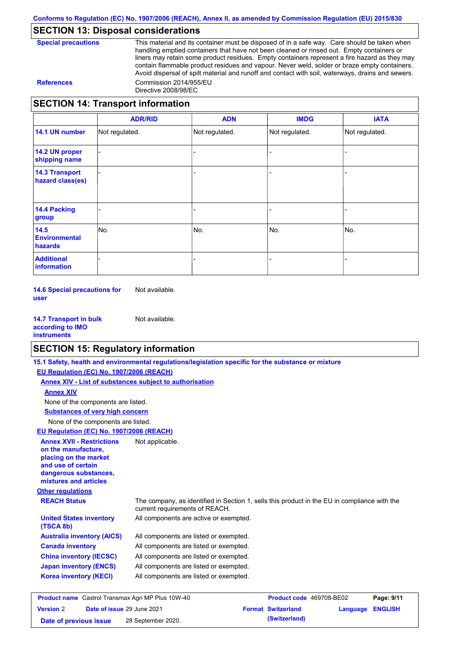### **SECTION 13: Disposal considerations**

| <b>Special precautions</b> |
|----------------------------|
|----------------------------|

This material and its container must be disposed of in a safe way. Care should be taken when handling emptied containers that have not been cleaned or rinsed out. Empty containers or liners may retain some product residues. Empty containers represent a fire hazard as they may contain flammable product residues and vapour. Never weld, solder or braze empty containers. Avoid dispersal of spilt material and runoff and contact with soil, waterways, drains and sewers. **References** Commission 2014/955/EU Directive 2008/98/EC

#### **SECTION 14: Transport information**

|                                           | <b>ADR/RID</b> | <b>ADN</b>     | <b>IMDG</b>    | <b>IATA</b>    |
|-------------------------------------------|----------------|----------------|----------------|----------------|
| 14.1 UN number                            | Not regulated. | Not regulated. | Not regulated. | Not regulated. |
| 14.2 UN proper<br>shipping name           |                |                |                |                |
| <b>14.3 Transport</b><br>hazard class(es) |                |                |                |                |
| <b>14.4 Packing</b><br>group              |                |                |                |                |
| 14.5<br><b>Environmental</b><br>hazards   | No.            | No.            | No.            | No.            |
| <b>Additional</b><br>information          |                |                |                |                |

**14.6 Special precautions for user** Not available.

**14.7 Transport in bulk according to IMO instruments** Not available.

#### **SECTION 15: Regulatory information**

|                                                                                                                                                          | 15.1 Safety, health and environmental regulations/legislation specific for the substance or mixture                            |                           |          |                |
|----------------------------------------------------------------------------------------------------------------------------------------------------------|--------------------------------------------------------------------------------------------------------------------------------|---------------------------|----------|----------------|
| EU Regulation (EC) No. 1907/2006 (REACH)                                                                                                                 |                                                                                                                                |                           |          |                |
|                                                                                                                                                          | Annex XIV - List of substances subject to authorisation                                                                        |                           |          |                |
| <b>Annex XIV</b>                                                                                                                                         |                                                                                                                                |                           |          |                |
| None of the components are listed.                                                                                                                       |                                                                                                                                |                           |          |                |
| <b>Substances of very high concern</b>                                                                                                                   |                                                                                                                                |                           |          |                |
| None of the components are listed.                                                                                                                       |                                                                                                                                |                           |          |                |
| EU Regulation (EC) No. 1907/2006 (REACH)                                                                                                                 |                                                                                                                                |                           |          |                |
| <b>Annex XVII - Restrictions</b><br>on the manufacture.<br>placing on the market<br>and use of certain<br>dangerous substances,<br>mixtures and articles | Not applicable.                                                                                                                |                           |          |                |
| <b>Other regulations</b>                                                                                                                                 |                                                                                                                                |                           |          |                |
| <b>REACH Status</b>                                                                                                                                      | The company, as identified in Section 1, sells this product in the EU in compliance with the<br>current requirements of REACH. |                           |          |                |
| <b>United States inventory</b><br>(TSCA 8b)                                                                                                              | All components are active or exempted.                                                                                         |                           |          |                |
| <b>Australia inventory (AICS)</b>                                                                                                                        | All components are listed or exempted.                                                                                         |                           |          |                |
| <b>Canada inventory</b>                                                                                                                                  | All components are listed or exempted.                                                                                         |                           |          |                |
| <b>China inventory (IECSC)</b>                                                                                                                           | All components are listed or exempted.                                                                                         |                           |          |                |
| <b>Japan inventory (ENCS)</b>                                                                                                                            | All components are listed or exempted.                                                                                         |                           |          |                |
| <b>Korea inventory (KECI)</b>                                                                                                                            | All components are listed or exempted.                                                                                         |                           |          |                |
| <b>Product name</b> Castrol Transmax Agri MP Plus 10W-40                                                                                                 |                                                                                                                                | Product code 469708-BE02  |          | Page: 9/11     |
| Date of issue 29 June 2021<br><b>Version 2</b>                                                                                                           |                                                                                                                                | <b>Format Switzerland</b> | Language | <b>ENGLISH</b> |

**Date of previous issue (Switzerland)** 28 September 2020.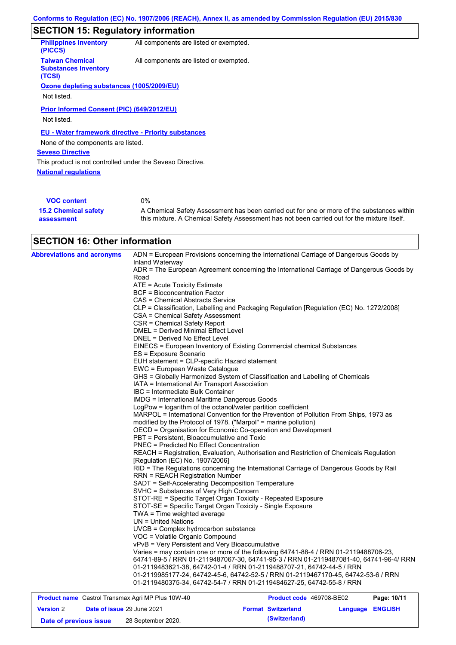# **SECTION 15: Regulatory information**

| <b>Philippines inventory</b><br>(PICCS)                         | All components are listed or exempted. |
|-----------------------------------------------------------------|----------------------------------------|
| <b>Taiwan Chemical</b><br><b>Substances Inventory</b><br>(TCSI) | All components are listed or exempted. |
| Ozone depleting substances (1005/2009/EU)                       |                                        |
| Not listed.                                                     |                                        |
| <b>Prior Informed Consent (PIC) (649/2012/EU)</b>               |                                        |
| Not listed.                                                     |                                        |
| <b>EU - Water framework directive - Priority substances</b>     |                                        |
| None of the components are listed.                              |                                        |
| <b>Seveso Directive</b>                                         |                                        |
| This product is not controlled under the Seveso Directive.      |                                        |
| <b>National regulations</b>                                     |                                        |
|                                                                 |                                        |
| <b>VOC content</b>                                              | $0\%$                                  |

| <b>VOC content</b>          | 0%                                                                                          |
|-----------------------------|---------------------------------------------------------------------------------------------|
| <b>15.2 Chemical safety</b> | A Chemical Safety Assessment has been carried out for one or more of the substances within  |
| assessment                  | this mixture. A Chemical Safety Assessment has not been carried out for the mixture itself. |

## **SECTION 16: Other information**

| <b>Abbreviations and acronyms</b> | ADN = European Provisions concerning the International Carriage of Dangerous Goods by<br>Inland Waterway                                                                                                                                               |
|-----------------------------------|--------------------------------------------------------------------------------------------------------------------------------------------------------------------------------------------------------------------------------------------------------|
|                                   | ADR = The European Agreement concerning the International Carriage of Dangerous Goods by<br>Road                                                                                                                                                       |
|                                   | ATE = Acute Toxicity Estimate                                                                                                                                                                                                                          |
|                                   | <b>BCF</b> = Bioconcentration Factor                                                                                                                                                                                                                   |
|                                   | CAS = Chemical Abstracts Service                                                                                                                                                                                                                       |
|                                   | CLP = Classification, Labelling and Packaging Regulation [Regulation (EC) No. 1272/2008]                                                                                                                                                               |
|                                   | CSA = Chemical Safety Assessment                                                                                                                                                                                                                       |
|                                   | CSR = Chemical Safety Report                                                                                                                                                                                                                           |
|                                   | <b>DMEL = Derived Minimal Effect Level</b>                                                                                                                                                                                                             |
|                                   | DNEL = Derived No Effect Level                                                                                                                                                                                                                         |
|                                   | EINECS = European Inventory of Existing Commercial chemical Substances                                                                                                                                                                                 |
|                                   | ES = Exposure Scenario                                                                                                                                                                                                                                 |
|                                   | EUH statement = CLP-specific Hazard statement                                                                                                                                                                                                          |
|                                   | EWC = European Waste Catalogue                                                                                                                                                                                                                         |
|                                   | GHS = Globally Harmonized System of Classification and Labelling of Chemicals                                                                                                                                                                          |
|                                   | IATA = International Air Transport Association                                                                                                                                                                                                         |
|                                   | IBC = Intermediate Bulk Container                                                                                                                                                                                                                      |
|                                   | <b>IMDG = International Maritime Dangerous Goods</b>                                                                                                                                                                                                   |
|                                   | LogPow = logarithm of the octanol/water partition coefficient                                                                                                                                                                                          |
|                                   | MARPOL = International Convention for the Prevention of Pollution From Ships, 1973 as                                                                                                                                                                  |
|                                   | modified by the Protocol of 1978. ("Marpol" = marine pollution)                                                                                                                                                                                        |
|                                   | OECD = Organisation for Economic Co-operation and Development                                                                                                                                                                                          |
|                                   | PBT = Persistent, Bioaccumulative and Toxic                                                                                                                                                                                                            |
|                                   | <b>PNEC = Predicted No Effect Concentration</b>                                                                                                                                                                                                        |
|                                   | REACH = Registration, Evaluation, Authorisation and Restriction of Chemicals Regulation<br>[Regulation (EC) No. 1907/2006]                                                                                                                             |
|                                   | RID = The Regulations concerning the International Carriage of Dangerous Goods by Rail<br><b>RRN = REACH Registration Number</b>                                                                                                                       |
|                                   | SADT = Self-Accelerating Decomposition Temperature                                                                                                                                                                                                     |
|                                   | SVHC = Substances of Very High Concern                                                                                                                                                                                                                 |
|                                   | STOT-RE = Specific Target Organ Toxicity - Repeated Exposure                                                                                                                                                                                           |
|                                   | STOT-SE = Specific Target Organ Toxicity - Single Exposure                                                                                                                                                                                             |
|                                   | TWA = Time weighted average                                                                                                                                                                                                                            |
|                                   | $UN = United Nations$                                                                                                                                                                                                                                  |
|                                   | UVCB = Complex hydrocarbon substance                                                                                                                                                                                                                   |
|                                   | VOC = Volatile Organic Compound                                                                                                                                                                                                                        |
|                                   | vPvB = Very Persistent and Very Bioaccumulative                                                                                                                                                                                                        |
|                                   | Varies = may contain one or more of the following 64741-88-4 / RRN 01-2119488706-23,<br>64741-89-5 / RRN 01-2119487067-30, 64741-95-3 / RRN 01-2119487081-40, 64741-96-4/ RRN<br>01-2119483621-38, 64742-01-4 / RRN 01-2119488707-21, 64742-44-5 / RRN |
|                                   | 01-2119985177-24, 64742-45-6, 64742-52-5 / RRN 01-2119467170-45, 64742-53-6 / RRN<br>01-2119480375-34, 64742-54-7 / RRN 01-2119484627-25, 64742-55-8 / RRN                                                                                             |

| <b>Product name</b> Castrol Transmax Agri MP Plus 10W-40 |  | <b>Product code</b> 469708-BE02   |  | Page: 10/11               |                         |  |
|----------------------------------------------------------|--|-----------------------------------|--|---------------------------|-------------------------|--|
| <b>Version 2</b>                                         |  | <b>Date of issue 29 June 2021</b> |  | <b>Format Switzerland</b> | <b>Language ENGLISH</b> |  |
| Date of previous issue                                   |  | 28 September 2020.                |  | (Switzerland)             |                         |  |